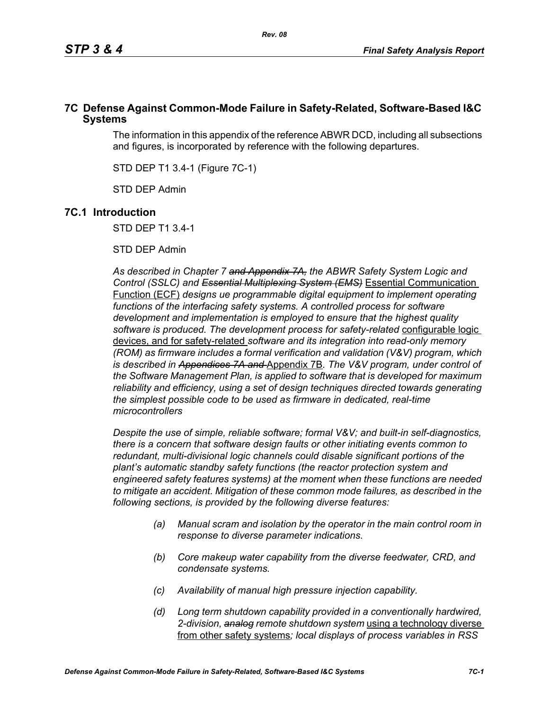# **7C Defense Against Common-Mode Failure in Safety-Related, Software-Based I&C Systems**

The information in this appendix of the reference ABWR DCD, including all subsections and figures, is incorporated by reference with the following departures.

STD DEP T1 3.4-1 (Figure 7C-1)

STD DEP Admin

# **7C.1 Introduction**

STD DEP T1 3.4-1

STD DEP Admin

*As described in Chapter 7 and Appendix 7A, the ABWR Safety System Logic and Control (SSLC) and Essential Multiplexing System (EMS)* Essential Communication Function (ECF) *designs ue programmable digital equipment to implement operating*  functions of the interfacing safety systems. A controlled process for software *development and implementation is employed to ensure that the highest quality software is produced. The development process for safety-related* configurable logic devices, and for safety-related *software and its integration into read-only memory (ROM) as firmware includes a formal verification and validation (V&V) program, which is described in Appendices 7A and* Appendix 7B*. The V&V program, under control of the Software Management Plan, is applied to software that is developed for maximum reliability and efficiency, using a set of design techniques directed towards generating the simplest possible code to be used as firmware in dedicated, real-time microcontrollers*

*Despite the use of simple, reliable software; formal V&V; and built-in self-diagnostics, there is a concern that software design faults or other initiating events common to redundant, multi-divisional logic channels could disable significant portions of the plant's automatic standby safety functions (the reactor protection system and engineered safety features systems) at the moment when these functions are needed to mitigate an accident. Mitigation of these common mode failures, as described in the following sections, is provided by the following diverse features:*

- *(a) Manual scram and isolation by the operator in the main control room in response to diverse parameter indications.*
- *(b) Core makeup water capability from the diverse feedwater, CRD, and condensate systems.*
- *(c) Availability of manual high pressure injection capability.*
- *(d) Long term shutdown capability provided in a conventionally hardwired, 2-division, analog remote shutdown system* using a technology diverse from other safety systems*; local displays of process variables in RSS*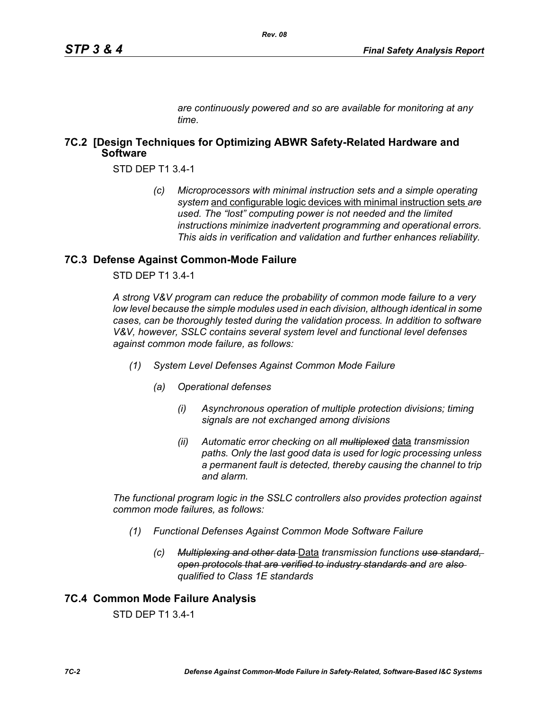*are continuously powered and so are available for monitoring at any time.*

# **7C.2 [Design Techniques for Optimizing ABWR Safety-Related Hardware and Software**

STD DEP T1 3.4-1

*(c) Microprocessors with minimal instruction sets and a simple operating system* and configurable logic devices with minimal instruction sets *are used. The "lost" computing power is not needed and the limited instructions minimize inadvertent programming and operational errors. This aids in verification and validation and further enhances reliability.*

# **7C.3 Defense Against Common-Mode Failure**

STD DEP T1 3.4-1

*A strong V&V program can reduce the probability of common mode failure to a very low level because the simple modules used in each division, although identical in some cases, can be thoroughly tested during the validation process. In addition to software V&V, however, SSLC contains several system level and functional level defenses against common mode failure, as follows:*

- *(1) System Level Defenses Against Common Mode Failure*
	- *(a) Operational defenses*
		- *(i) Asynchronous operation of multiple protection divisions; timing signals are not exchanged among divisions*
		- *(ii) Automatic error checking on all multiplexed* data *transmission paths. Only the last good data is used for logic processing unless a permanent fault is detected, thereby causing the channel to trip and alarm.*

*The functional program logic in the SSLC controllers also provides protection against common mode failures, as follows:*

- *(1) Functional Defenses Against Common Mode Software Failure*
	- *(c) Multiplexing and other data* Data *transmission functions use standard, open protocols that are verified to industry standards and are also qualified to Class 1E standards*

# **7C.4 Common Mode Failure Analysis**

STD DEP T1 3.4-1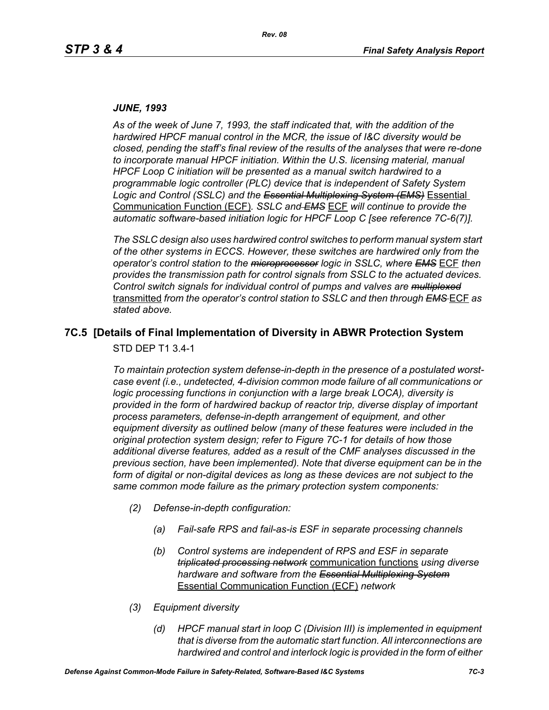#### *JUNE, 1993*

*As of the week of June 7, 1993, the staff indicated that, with the addition of the hardwired HPCF manual control in the MCR, the issue of I&C diversity would be closed, pending the staff's final review of the results of the analyses that were re-done to incorporate manual HPCF initiation. Within the U.S. licensing material, manual HPCF Loop C initiation will be presented as a manual switch hardwired to a programmable logic controller (PLC) device that is independent of Safety System Logic and Control (SSLC) and the Essential Multiplexing System (EMS)* Essential Communication Function (ECF)*. SSLC and EMS* ECF *will continue to provide the automatic software-based initiation logic for HPCF Loop C [see reference 7C-6(7)].*

*The SSLC design also uses hardwired control switches to perform manual system start of the other systems in ECCS. However, these switches are hardwired only from the operator's control station to the microprocessor logic in SSLC, where EMS* ECF *then provides the transmission path for control signals from SSLC to the actuated devices. Control switch signals for individual control of pumps and valves are multiplexed* transmitted *from the operator's control station to SSLC and then through EMS* ECF *as stated above.*

# **7C.5 [Details of Final Implementation of Diversity in ABWR Protection System**

STD DEP T1 3.4-1

*To maintain protection system defense-in-depth in the presence of a postulated worstcase event (i.e., undetected, 4-division common mode failure of all communications or logic processing functions in conjunction with a large break LOCA), diversity is provided in the form of hardwired backup of reactor trip, diverse display of important process parameters, defense-in-depth arrangement of equipment, and other equipment diversity as outlined below (many of these features were included in the original protection system design; refer to Figure 7C-1 for details of how those additional diverse features, added as a result of the CMF analyses discussed in the previous section, have been implemented). Note that diverse equipment can be in the*  form of digital or non-digital devices as long as these devices are not subject to the *same common mode failure as the primary protection system components:*

- *(2) Defense-in-depth configuration:*
	- *(a) Fail-safe RPS and fail-as-is ESF in separate processing channels*
	- *(b) Control systems are independent of RPS and ESF in separate triplicated processing network* communication functions *using diverse hardware and software from the Essential Multiplexing System* Essential Communication Function (ECF) *network*
- *(3) Equipment diversity*
	- *(d) HPCF manual start in loop C (Division III) is implemented in equipment that is diverse from the automatic start function. All interconnections are hardwired and control and interlock logic is provided in the form of either*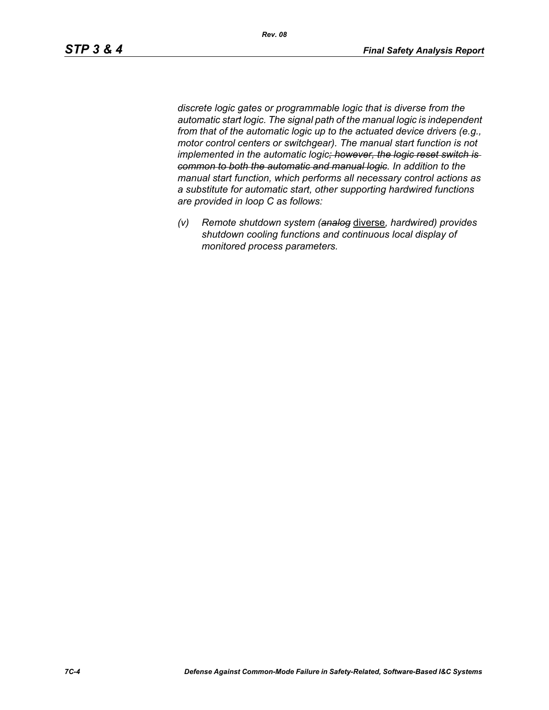*discrete logic gates or programmable logic that is diverse from the automatic start logic. The signal path of the manual logic is independent from that of the automatic logic up to the actuated device drivers (e.g., motor control centers or switchgear). The manual start function is not implemented in the automatic logic; however, the logic reset switch is common to both the automatic and manual logic. In addition to the manual start function, which performs all necessary control actions as a substitute for automatic start, other supporting hardwired functions are provided in loop C as follows:*

*(v) Remote shutdown system (analog* diverse*, hardwired) provides shutdown cooling functions and continuous local display of monitored process parameters.*